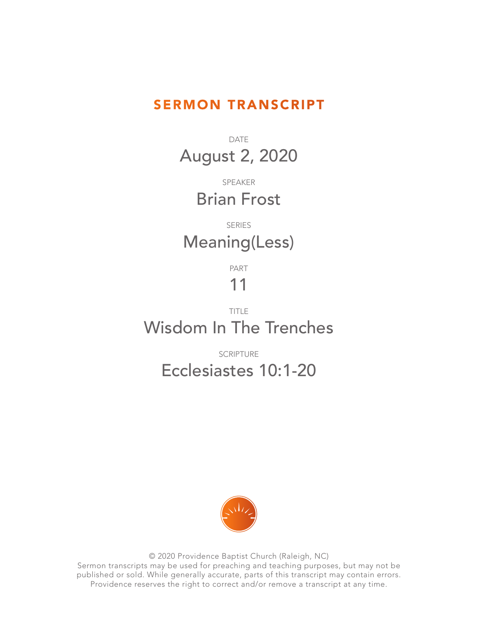#### SERMON TRANSCRIPT

DATE August 2, 2020

> SPEAKER Brian Frost

### SERIES Meaning(Less)

PART

# 11

### TITLE Wisdom In The Trenches

SCRIPTURE

## Ecclesiastes 10:1-20



© 2020 Providence Baptist Church (Raleigh, NC) Sermon transcripts may be used for preaching and teaching purposes, but may not be published or sold. While generally accurate, parts of this transcript may contain errors. Providence reserves the right to correct and/or remove a transcript at any time.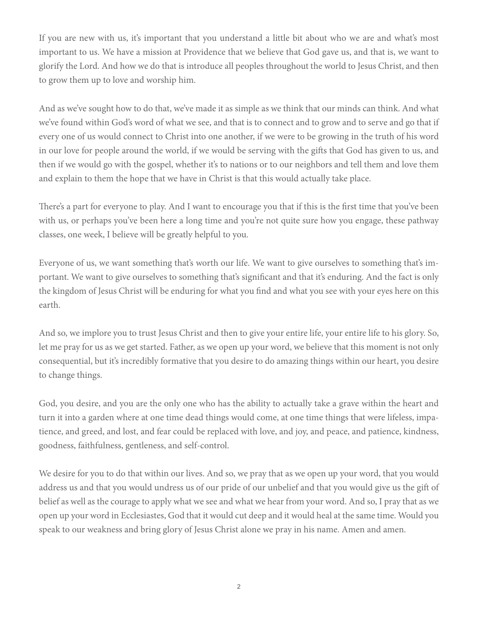If you are new with us, it's important that you understand a little bit about who we are and what's most important to us. We have a mission at Providence that we believe that God gave us, and that is, we want to glorify the Lord. And how we do that is introduce all peoples throughout the world to Jesus Christ, and then to grow them up to love and worship him.

And as we've sought how to do that, we've made it as simple as we think that our minds can think. And what we've found within God's word of what we see, and that is to connect and to grow and to serve and go that if every one of us would connect to Christ into one another, if we were to be growing in the truth of his word in our love for people around the world, if we would be serving with the gifts that God has given to us, and then if we would go with the gospel, whether it's to nations or to our neighbors and tell them and love them and explain to them the hope that we have in Christ is that this would actually take place.

There's a part for everyone to play. And I want to encourage you that if this is the first time that you've been with us, or perhaps you've been here a long time and you're not quite sure how you engage, these pathway classes, one week, I believe will be greatly helpful to you.

Everyone of us, we want something that's worth our life. We want to give ourselves to something that's important. We want to give ourselves to something that's significant and that it's enduring. And the fact is only the kingdom of Jesus Christ will be enduring for what you find and what you see with your eyes here on this earth.

And so, we implore you to trust Jesus Christ and then to give your entire life, your entire life to his glory. So, let me pray for us as we get started. Father, as we open up your word, we believe that this moment is not only consequential, but it's incredibly formative that you desire to do amazing things within our heart, you desire to change things.

God, you desire, and you are the only one who has the ability to actually take a grave within the heart and turn it into a garden where at one time dead things would come, at one time things that were lifeless, impatience, and greed, and lost, and fear could be replaced with love, and joy, and peace, and patience, kindness, goodness, faithfulness, gentleness, and self-control.

We desire for you to do that within our lives. And so, we pray that as we open up your word, that you would address us and that you would undress us of our pride of our unbelief and that you would give us the gift of belief as well as the courage to apply what we see and what we hear from your word. And so, I pray that as we open up your word in Ecclesiastes, God that it would cut deep and it would heal at the same time. Would you speak to our weakness and bring glory of Jesus Christ alone we pray in his name. Amen and amen.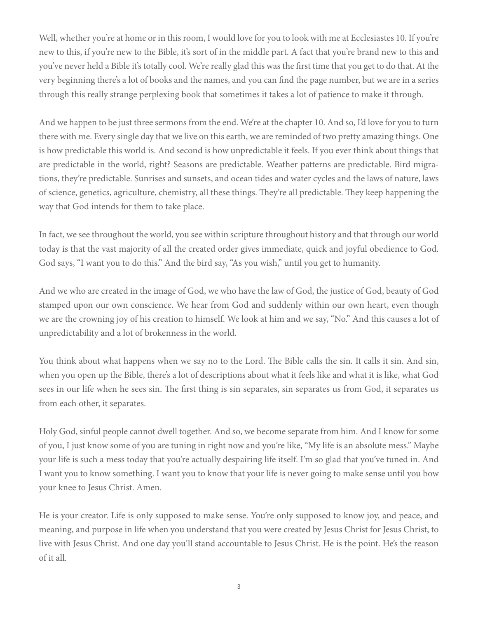Well, whether you're at home or in this room, I would love for you to look with me at Ecclesiastes 10. If you're new to this, if you're new to the Bible, it's sort of in the middle part. A fact that you're brand new to this and you've never held a Bible it's totally cool. We're really glad this was the first time that you get to do that. At the very beginning there's a lot of books and the names, and you can find the page number, but we are in a series through this really strange perplexing book that sometimes it takes a lot of patience to make it through.

And we happen to be just three sermons from the end. We're at the chapter 10. And so, I'd love for you to turn there with me. Every single day that we live on this earth, we are reminded of two pretty amazing things. One is how predictable this world is. And second is how unpredictable it feels. If you ever think about things that are predictable in the world, right? Seasons are predictable. Weather patterns are predictable. Bird migrations, they're predictable. Sunrises and sunsets, and ocean tides and water cycles and the laws of nature, laws of science, genetics, agriculture, chemistry, all these things. They're all predictable. They keep happening the way that God intends for them to take place.

In fact, we see throughout the world, you see within scripture throughout history and that through our world today is that the vast majority of all the created order gives immediate, quick and joyful obedience to God. God says, "I want you to do this." And the bird say, "As you wish," until you get to humanity.

And we who are created in the image of God, we who have the law of God, the justice of God, beauty of God stamped upon our own conscience. We hear from God and suddenly within our own heart, even though we are the crowning joy of his creation to himself. We look at him and we say, "No." And this causes a lot of unpredictability and a lot of brokenness in the world.

You think about what happens when we say no to the Lord. The Bible calls the sin. It calls it sin. And sin, when you open up the Bible, there's a lot of descriptions about what it feels like and what it is like, what God sees in our life when he sees sin. The first thing is sin separates, sin separates us from God, it separates us from each other, it separates.

Holy God, sinful people cannot dwell together. And so, we become separate from him. And I know for some of you, I just know some of you are tuning in right now and you're like, "My life is an absolute mess." Maybe your life is such a mess today that you're actually despairing life itself. I'm so glad that you've tuned in. And I want you to know something. I want you to know that your life is never going to make sense until you bow your knee to Jesus Christ. Amen.

He is your creator. Life is only supposed to make sense. You're only supposed to know joy, and peace, and meaning, and purpose in life when you understand that you were created by Jesus Christ for Jesus Christ, to live with Jesus Christ. And one day you'll stand accountable to Jesus Christ. He is the point. He's the reason of it all.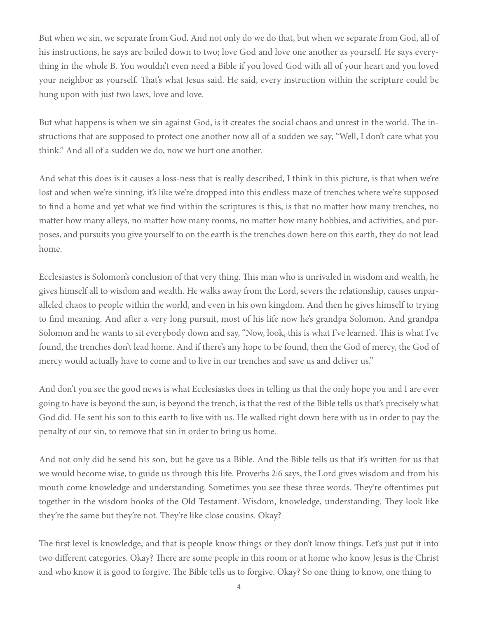But when we sin, we separate from God. And not only do we do that, but when we separate from God, all of his instructions, he says are boiled down to two; love God and love one another as yourself. He says everything in the whole B. You wouldn't even need a Bible if you loved God with all of your heart and you loved your neighbor as yourself. That's what Jesus said. He said, every instruction within the scripture could be hung upon with just two laws, love and love.

But what happens is when we sin against God, is it creates the social chaos and unrest in the world. The instructions that are supposed to protect one another now all of a sudden we say, "Well, I don't care what you think." And all of a sudden we do, now we hurt one another.

And what this does is it causes a loss-ness that is really described, I think in this picture, is that when we're lost and when we're sinning, it's like we're dropped into this endless maze of trenches where we're supposed to find a home and yet what we find within the scriptures is this, is that no matter how many trenches, no matter how many alleys, no matter how many rooms, no matter how many hobbies, and activities, and purposes, and pursuits you give yourself to on the earth is the trenches down here on this earth, they do not lead home.

Ecclesiastes is Solomon's conclusion of that very thing. This man who is unrivaled in wisdom and wealth, he gives himself all to wisdom and wealth. He walks away from the Lord, severs the relationship, causes unparalleled chaos to people within the world, and even in his own kingdom. And then he gives himself to trying to find meaning. And after a very long pursuit, most of his life now he's grandpa Solomon. And grandpa Solomon and he wants to sit everybody down and say, "Now, look, this is what I've learned. This is what I've found, the trenches don't lead home. And if there's any hope to be found, then the God of mercy, the God of mercy would actually have to come and to live in our trenches and save us and deliver us."

And don't you see the good news is what Ecclesiastes does in telling us that the only hope you and I are ever going to have is beyond the sun, is beyond the trench, is that the rest of the Bible tells us that's precisely what God did. He sent his son to this earth to live with us. He walked right down here with us in order to pay the penalty of our sin, to remove that sin in order to bring us home.

And not only did he send his son, but he gave us a Bible. And the Bible tells us that it's written for us that we would become wise, to guide us through this life. Proverbs 2:6 says, the Lord gives wisdom and from his mouth come knowledge and understanding. Sometimes you see these three words. They're oftentimes put together in the wisdom books of the Old Testament. Wisdom, knowledge, understanding. They look like they're the same but they're not. They're like close cousins. Okay?

The first level is knowledge, and that is people know things or they don't know things. Let's just put it into two different categories. Okay? There are some people in this room or at home who know Jesus is the Christ and who know it is good to forgive. The Bible tells us to forgive. Okay? So one thing to know, one thing to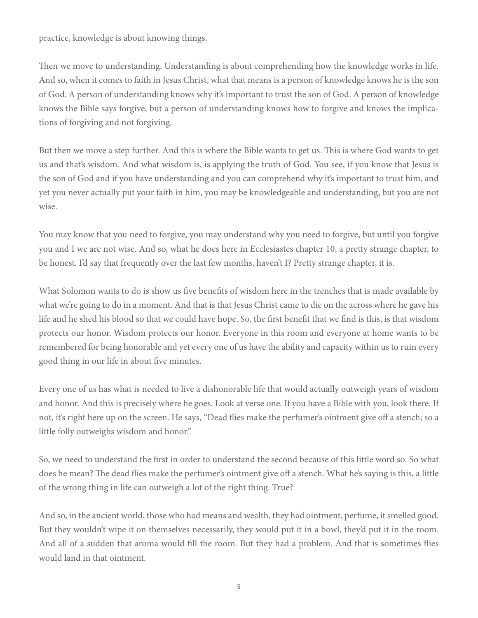practice, knowledge is about knowing things.

Then we move to understanding. Understanding is about comprehending how the knowledge works in life. And so, when it comes to faith in Jesus Christ, what that means is a person of knowledge knows he is the son of God. A person of understanding knows why it's important to trust the son of God. A person of knowledge knows the Bible says forgive, but a person of understanding knows how to forgive and knows the implications of forgiving and not forgiving.

But then we move a step further. And this is where the Bible wants to get us. This is where God wants to get us and that's wisdom. And what wisdom is, is applying the truth of God. You see, if you know that Jesus is the son of God and if you have understanding and you can comprehend why it's important to trust him, and yet you never actually put your faith in him, you may be knowledgeable and understanding, but you are not wise.

You may know that you need to forgive, you may understand why you need to forgive, but until you forgive you and I we are not wise. And so, what he does here in Ecclesiastes chapter 10, a pretty strange chapter, to be honest. I'd say that frequently over the last few months, haven't I? Pretty strange chapter, it is.

What Solomon wants to do is show us five benefits of wisdom here in the trenches that is made available by what we're going to do in a moment. And that is that Jesus Christ came to die on the across where he gave his life and he shed his blood so that we could have hope. So, the first benefit that we find is this, is that wisdom protects our honor. Wisdom protects our honor. Everyone in this room and everyone at home wants to be remembered for being honorable and yet every one of us have the ability and capacity within us to ruin every good thing in our life in about five minutes.

Every one of us has what is needed to live a dishonorable life that would actually outweigh years of wisdom and honor. And this is precisely where he goes. Look at verse one. If you have a Bible with you, look there. If not, it's right here up on the screen. He says, "Dead flies make the perfumer's ointment give off a stench; so a little folly outweighs wisdom and honor."

So, we need to understand the first in order to understand the second because of this little word so. So what does he mean? The dead flies make the perfumer's ointment give off a stench. What he's saying is this, a little of the wrong thing in life can outweigh a lot of the right thing. True?

And so, in the ancient world, those who had means and wealth, they had ointment, perfume, it smelled good. But they wouldn't wipe it on themselves necessarily, they would put it in a bowl, they'd put it in the room. And all of a sudden that aroma would fill the room. But they had a problem. And that is sometimes flies would land in that ointment.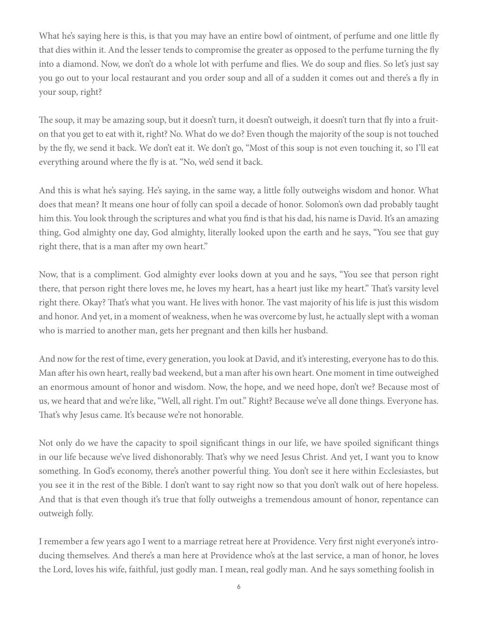What he's saying here is this, is that you may have an entire bowl of ointment, of perfume and one little fly that dies within it. And the lesser tends to compromise the greater as opposed to the perfume turning the fly into a diamond. Now, we don't do a whole lot with perfume and flies. We do soup and flies. So let's just say you go out to your local restaurant and you order soup and all of a sudden it comes out and there's a fly in your soup, right?

The soup, it may be amazing soup, but it doesn't turn, it doesn't outweigh, it doesn't turn that fly into a fruiton that you get to eat with it, right? No. What do we do? Even though the majority of the soup is not touched by the fly, we send it back. We don't eat it. We don't go, "Most of this soup is not even touching it, so I'll eat everything around where the fly is at. "No, we'd send it back.

And this is what he's saying. He's saying, in the same way, a little folly outweighs wisdom and honor. What does that mean? It means one hour of folly can spoil a decade of honor. Solomon's own dad probably taught him this. You look through the scriptures and what you find is that his dad, his name is David. It's an amazing thing, God almighty one day, God almighty, literally looked upon the earth and he says, "You see that guy right there, that is a man after my own heart."

Now, that is a compliment. God almighty ever looks down at you and he says, "You see that person right there, that person right there loves me, he loves my heart, has a heart just like my heart." That's varsity level right there. Okay? That's what you want. He lives with honor. The vast majority of his life is just this wisdom and honor. And yet, in a moment of weakness, when he was overcome by lust, he actually slept with a woman who is married to another man, gets her pregnant and then kills her husband.

And now for the rest of time, every generation, you look at David, and it's interesting, everyone has to do this. Man after his own heart, really bad weekend, but a man after his own heart. One moment in time outweighed an enormous amount of honor and wisdom. Now, the hope, and we need hope, don't we? Because most of us, we heard that and we're like, "Well, all right. I'm out." Right? Because we've all done things. Everyone has. That's why Jesus came. It's because we're not honorable.

Not only do we have the capacity to spoil significant things in our life, we have spoiled significant things in our life because we've lived dishonorably. That's why we need Jesus Christ. And yet, I want you to know something. In God's economy, there's another powerful thing. You don't see it here within Ecclesiastes, but you see it in the rest of the Bible. I don't want to say right now so that you don't walk out of here hopeless. And that is that even though it's true that folly outweighs a tremendous amount of honor, repentance can outweigh folly.

I remember a few years ago I went to a marriage retreat here at Providence. Very first night everyone's introducing themselves. And there's a man here at Providence who's at the last service, a man of honor, he loves the Lord, loves his wife, faithful, just godly man. I mean, real godly man. And he says something foolish in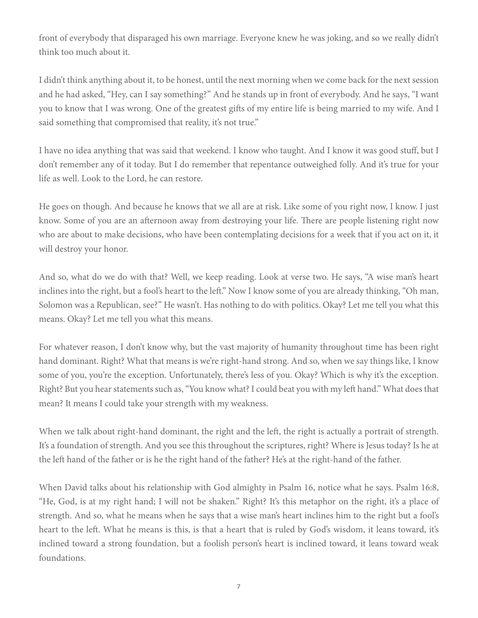front of everybody that disparaged his own marriage. Everyone knew he was joking, and so we really didn't think too much about it.

I didn't think anything about it, to be honest, until the next morning when we come back for the next session and he had asked, "Hey, can I say something?" And he stands up in front of everybody. And he says, "I want you to know that I was wrong. One of the greatest gifts of my entire life is being married to my wife. And I said something that compromised that reality, it's not true."

I have no idea anything that was said that weekend. I know who taught. And I know it was good stuff, but I don't remember any of it today. But I do remember that repentance outweighed folly. And it's true for your life as well. Look to the Lord, he can restore.

He goes on though. And because he knows that we all are at risk. Like some of you right now, I know. I just know. Some of you are an afternoon away from destroying your life. There are people listening right now who are about to make decisions, who have been contemplating decisions for a week that if you act on it, it will destroy your honor.

And so, what do we do with that? Well, we keep reading. Look at verse two. He says, "A wise man's heart inclines into the right, but a fool's heart to the left." Now I know some of you are already thinking, "Oh man, Solomon was a Republican, see?" He wasn't. Has nothing to do with politics. Okay? Let me tell you what this means. Okay? Let me tell you what this means.

For whatever reason, I don't know why, but the vast majority of humanity throughout time has been right hand dominant. Right? What that means is we're right-hand strong. And so, when we say things like, I know some of you, you're the exception. Unfortunately, there's less of you. Okay? Which is why it's the exception. Right? But you hear statements such as, "You know what? I could beat you with my left hand." What does that mean? It means I could take your strength with my weakness.

When we talk about right-hand dominant, the right and the left, the right is actually a portrait of strength. It's a foundation of strength. And you see this throughout the scriptures, right? Where is Jesus today? Is he at the left hand of the father or is he the right hand of the father? He's at the right-hand of the father.

When David talks about his relationship with God almighty in Psalm 16, notice what he says. Psalm 16:8, "He, God, is at my right hand; I will not be shaken." Right? It's this metaphor on the right, it's a place of strength. And so, what he means when he says that a wise man's heart inclines him to the right but a fool's heart to the left. What he means is this, is that a heart that is ruled by God's wisdom, it leans toward, it's inclined toward a strong foundation, but a foolish person's heart is inclined toward, it leans toward weak foundations.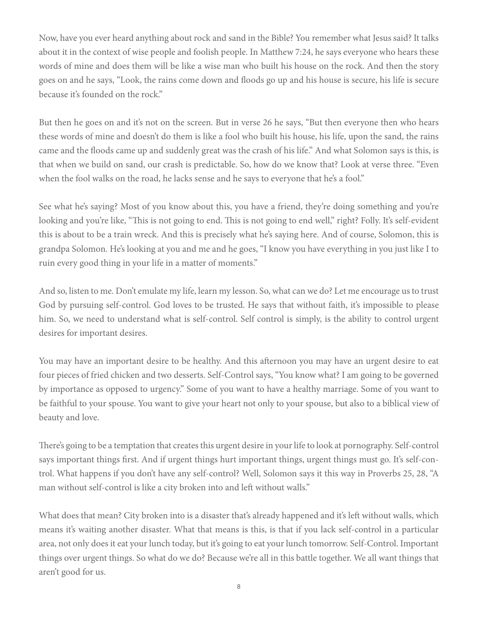Now, have you ever heard anything about rock and sand in the Bible? You remember what Jesus said? It talks about it in the context of wise people and foolish people. In Matthew 7:24, he says everyone who hears these words of mine and does them will be like a wise man who built his house on the rock. And then the story goes on and he says, "Look, the rains come down and floods go up and his house is secure, his life is secure because it's founded on the rock."

But then he goes on and it's not on the screen. But in verse 26 he says, "But then everyone then who hears these words of mine and doesn't do them is like a fool who built his house, his life, upon the sand, the rains came and the floods came up and suddenly great was the crash of his life." And what Solomon says is this, is that when we build on sand, our crash is predictable. So, how do we know that? Look at verse three. "Even when the fool walks on the road, he lacks sense and he says to everyone that he's a fool."

See what he's saying? Most of you know about this, you have a friend, they're doing something and you're looking and you're like, "This is not going to end. This is not going to end well," right? Folly. It's self-evident this is about to be a train wreck. And this is precisely what he's saying here. And of course, Solomon, this is grandpa Solomon. He's looking at you and me and he goes, "I know you have everything in you just like I to ruin every good thing in your life in a matter of moments."

And so, listen to me. Don't emulate my life, learn my lesson. So, what can we do? Let me encourage us to trust God by pursuing self-control. God loves to be trusted. He says that without faith, it's impossible to please him. So, we need to understand what is self-control. Self control is simply, is the ability to control urgent desires for important desires.

You may have an important desire to be healthy. And this afternoon you may have an urgent desire to eat four pieces of fried chicken and two desserts. Self-Control says, "You know what? I am going to be governed by importance as opposed to urgency." Some of you want to have a healthy marriage. Some of you want to be faithful to your spouse. You want to give your heart not only to your spouse, but also to a biblical view of beauty and love.

There's going to be a temptation that creates this urgent desire in your life to look at pornography. Self-control says important things first. And if urgent things hurt important things, urgent things must go. It's self-control. What happens if you don't have any self-control? Well, Solomon says it this way in Proverbs 25, 28, "A man without self-control is like a city broken into and left without walls."

What does that mean? City broken into is a disaster that's already happened and it's left without walls, which means it's waiting another disaster. What that means is this, is that if you lack self-control in a particular area, not only does it eat your lunch today, but it's going to eat your lunch tomorrow. Self-Control. Important things over urgent things. So what do we do? Because we're all in this battle together. We all want things that aren't good for us.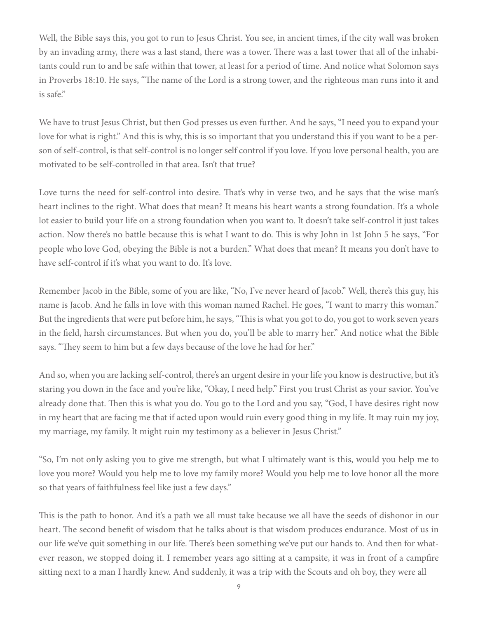Well, the Bible says this, you got to run to Jesus Christ. You see, in ancient times, if the city wall was broken by an invading army, there was a last stand, there was a tower. There was a last tower that all of the inhabitants could run to and be safe within that tower, at least for a period of time. And notice what Solomon says in Proverbs 18:10. He says, "The name of the Lord is a strong tower, and the righteous man runs into it and is safe."

We have to trust Jesus Christ, but then God presses us even further. And he says, "I need you to expand your love for what is right." And this is why, this is so important that you understand this if you want to be a person of self-control, is that self-control is no longer self control if you love. If you love personal health, you are motivated to be self-controlled in that area. Isn't that true?

Love turns the need for self-control into desire. That's why in verse two, and he says that the wise man's heart inclines to the right. What does that mean? It means his heart wants a strong foundation. It's a whole lot easier to build your life on a strong foundation when you want to. It doesn't take self-control it just takes action. Now there's no battle because this is what I want to do. This is why John in 1st John 5 he says, "For people who love God, obeying the Bible is not a burden." What does that mean? It means you don't have to have self-control if it's what you want to do. It's love.

Remember Jacob in the Bible, some of you are like, "No, I've never heard of Jacob." Well, there's this guy, his name is Jacob. And he falls in love with this woman named Rachel. He goes, "I want to marry this woman." But the ingredients that were put before him, he says, "This is what you got to do, you got to work seven years in the field, harsh circumstances. But when you do, you'll be able to marry her." And notice what the Bible says. "They seem to him but a few days because of the love he had for her."

And so, when you are lacking self-control, there's an urgent desire in your life you know is destructive, but it's staring you down in the face and you're like, "Okay, I need help." First you trust Christ as your savior. You've already done that. Then this is what you do. You go to the Lord and you say, "God, I have desires right now in my heart that are facing me that if acted upon would ruin every good thing in my life. It may ruin my joy, my marriage, my family. It might ruin my testimony as a believer in Jesus Christ."

"So, I'm not only asking you to give me strength, but what I ultimately want is this, would you help me to love you more? Would you help me to love my family more? Would you help me to love honor all the more so that years of faithfulness feel like just a few days."

This is the path to honor. And it's a path we all must take because we all have the seeds of dishonor in our heart. The second benefit of wisdom that he talks about is that wisdom produces endurance. Most of us in our life we've quit something in our life. There's been something we've put our hands to. And then for whatever reason, we stopped doing it. I remember years ago sitting at a campsite, it was in front of a campfire sitting next to a man I hardly knew. And suddenly, it was a trip with the Scouts and oh boy, they were all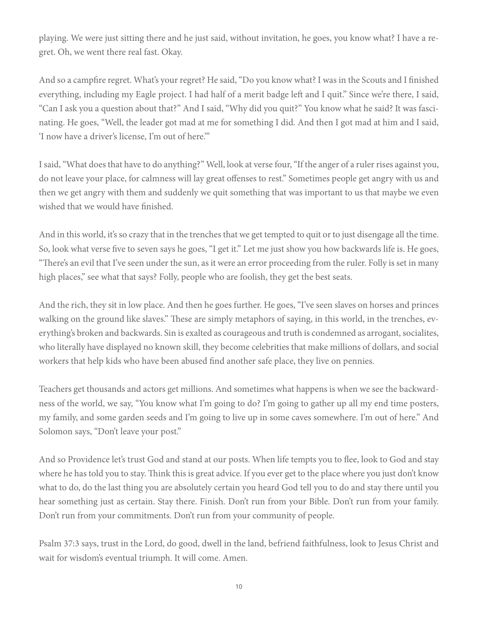playing. We were just sitting there and he just said, without invitation, he goes, you know what? I have a regret. Oh, we went there real fast. Okay.

And so a campfire regret. What's your regret? He said, "Do you know what? I was in the Scouts and I finished everything, including my Eagle project. I had half of a merit badge left and I quit." Since we're there, I said, "Can I ask you a question about that?" And I said, "Why did you quit?" You know what he said? It was fascinating. He goes, "Well, the leader got mad at me for something I did. And then I got mad at him and I said, 'I now have a driver's license, I'm out of here.'"

I said, "What does that have to do anything?" Well, look at verse four, "If the anger of a ruler rises against you, do not leave your place, for calmness will lay great offenses to rest." Sometimes people get angry with us and then we get angry with them and suddenly we quit something that was important to us that maybe we even wished that we would have finished.

And in this world, it's so crazy that in the trenches that we get tempted to quit or to just disengage all the time. So, look what verse five to seven says he goes, "I get it." Let me just show you how backwards life is. He goes, "There's an evil that I've seen under the sun, as it were an error proceeding from the ruler. Folly is set in many high places," see what that says? Folly, people who are foolish, they get the best seats.

And the rich, they sit in low place. And then he goes further. He goes, "I've seen slaves on horses and princes walking on the ground like slaves." These are simply metaphors of saying, in this world, in the trenches, everything's broken and backwards. Sin is exalted as courageous and truth is condemned as arrogant, socialites, who literally have displayed no known skill, they become celebrities that make millions of dollars, and social workers that help kids who have been abused find another safe place, they live on pennies.

Teachers get thousands and actors get millions. And sometimes what happens is when we see the backwardness of the world, we say, "You know what I'm going to do? I'm going to gather up all my end time posters, my family, and some garden seeds and I'm going to live up in some caves somewhere. I'm out of here." And Solomon says, "Don't leave your post."

And so Providence let's trust God and stand at our posts. When life tempts you to flee, look to God and stay where he has told you to stay. Think this is great advice. If you ever get to the place where you just don't know what to do, do the last thing you are absolutely certain you heard God tell you to do and stay there until you hear something just as certain. Stay there. Finish. Don't run from your Bible. Don't run from your family. Don't run from your commitments. Don't run from your community of people.

Psalm 37:3 says, trust in the Lord, do good, dwell in the land, befriend faithfulness, look to Jesus Christ and wait for wisdom's eventual triumph. It will come. Amen.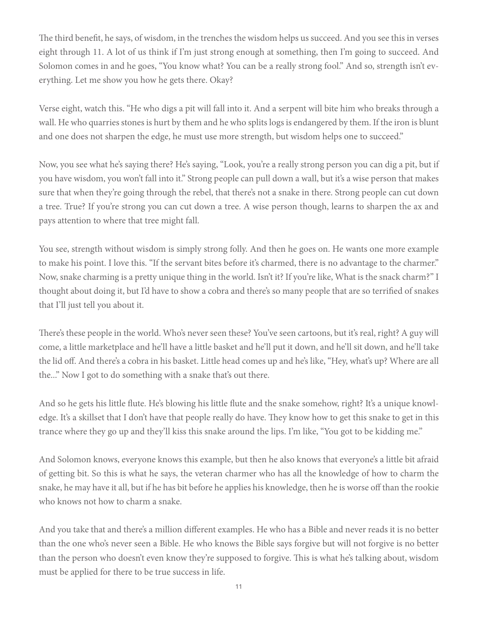The third benefit, he says, of wisdom, in the trenches the wisdom helps us succeed. And you see this in verses eight through 11. A lot of us think if I'm just strong enough at something, then I'm going to succeed. And Solomon comes in and he goes, "You know what? You can be a really strong fool." And so, strength isn't everything. Let me show you how he gets there. Okay?

Verse eight, watch this. "He who digs a pit will fall into it. And a serpent will bite him who breaks through a wall. He who quarries stones is hurt by them and he who splits logs is endangered by them. If the iron is blunt and one does not sharpen the edge, he must use more strength, but wisdom helps one to succeed."

Now, you see what he's saying there? He's saying, "Look, you're a really strong person you can dig a pit, but if you have wisdom, you won't fall into it." Strong people can pull down a wall, but it's a wise person that makes sure that when they're going through the rebel, that there's not a snake in there. Strong people can cut down a tree. True? If you're strong you can cut down a tree. A wise person though, learns to sharpen the ax and pays attention to where that tree might fall.

You see, strength without wisdom is simply strong folly. And then he goes on. He wants one more example to make his point. I love this. "If the servant bites before it's charmed, there is no advantage to the charmer." Now, snake charming is a pretty unique thing in the world. Isn't it? If you're like, What is the snack charm?" I thought about doing it, but I'd have to show a cobra and there's so many people that are so terrified of snakes that I'll just tell you about it.

There's these people in the world. Who's never seen these? You've seen cartoons, but it's real, right? A guy will come, a little marketplace and he'll have a little basket and he'll put it down, and he'll sit down, and he'll take the lid off. And there's a cobra in his basket. Little head comes up and he's like, "Hey, what's up? Where are all the..." Now I got to do something with a snake that's out there.

And so he gets his little flute. He's blowing his little flute and the snake somehow, right? It's a unique knowledge. It's a skillset that I don't have that people really do have. They know how to get this snake to get in this trance where they go up and they'll kiss this snake around the lips. I'm like, "You got to be kidding me."

And Solomon knows, everyone knows this example, but then he also knows that everyone's a little bit afraid of getting bit. So this is what he says, the veteran charmer who has all the knowledge of how to charm the snake, he may have it all, but if he has bit before he applies his knowledge, then he is worse off than the rookie who knows not how to charm a snake.

And you take that and there's a million different examples. He who has a Bible and never reads it is no better than the one who's never seen a Bible. He who knows the Bible says forgive but will not forgive is no better than the person who doesn't even know they're supposed to forgive. This is what he's talking about, wisdom must be applied for there to be true success in life.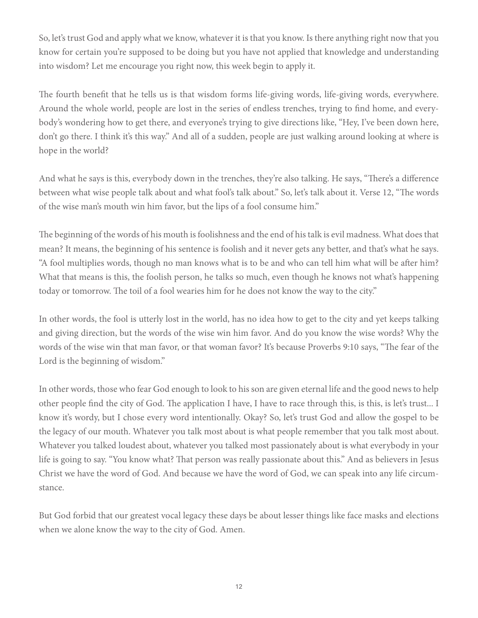So, let's trust God and apply what we know, whatever it is that you know. Is there anything right now that you know for certain you're supposed to be doing but you have not applied that knowledge and understanding into wisdom? Let me encourage you right now, this week begin to apply it.

The fourth benefit that he tells us is that wisdom forms life-giving words, life-giving words, everywhere. Around the whole world, people are lost in the series of endless trenches, trying to find home, and everybody's wondering how to get there, and everyone's trying to give directions like, "Hey, I've been down here, don't go there. I think it's this way." And all of a sudden, people are just walking around looking at where is hope in the world?

And what he says is this, everybody down in the trenches, they're also talking. He says, "There's a difference between what wise people talk about and what fool's talk about." So, let's talk about it. Verse 12, "The words of the wise man's mouth win him favor, but the lips of a fool consume him."

The beginning of the words of his mouth is foolishness and the end of his talk is evil madness. What does that mean? It means, the beginning of his sentence is foolish and it never gets any better, and that's what he says. "A fool multiplies words, though no man knows what is to be and who can tell him what will be after him? What that means is this, the foolish person, he talks so much, even though he knows not what's happening today or tomorrow. The toil of a fool wearies him for he does not know the way to the city."

In other words, the fool is utterly lost in the world, has no idea how to get to the city and yet keeps talking and giving direction, but the words of the wise win him favor. And do you know the wise words? Why the words of the wise win that man favor, or that woman favor? It's because Proverbs 9:10 says, "The fear of the Lord is the beginning of wisdom."

In other words, those who fear God enough to look to his son are given eternal life and the good news to help other people find the city of God. The application I have, I have to race through this, is this, is let's trust... I know it's wordy, but I chose every word intentionally. Okay? So, let's trust God and allow the gospel to be the legacy of our mouth. Whatever you talk most about is what people remember that you talk most about. Whatever you talked loudest about, whatever you talked most passionately about is what everybody in your life is going to say. "You know what? That person was really passionate about this." And as believers in Jesus Christ we have the word of God. And because we have the word of God, we can speak into any life circumstance.

But God forbid that our greatest vocal legacy these days be about lesser things like face masks and elections when we alone know the way to the city of God. Amen.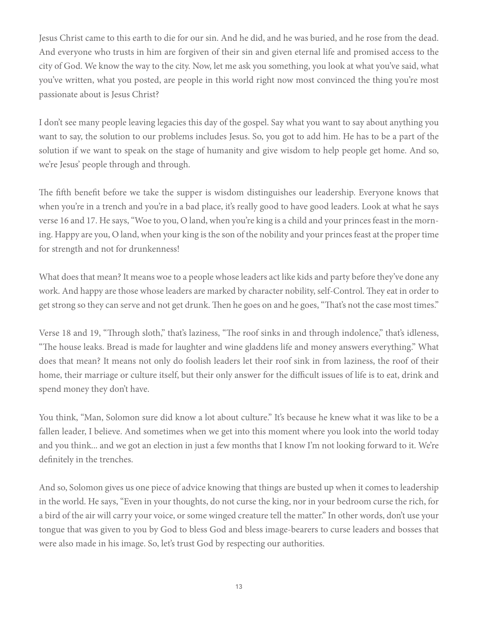Jesus Christ came to this earth to die for our sin. And he did, and he was buried, and he rose from the dead. And everyone who trusts in him are forgiven of their sin and given eternal life and promised access to the city of God. We know the way to the city. Now, let me ask you something, you look at what you've said, what you've written, what you posted, are people in this world right now most convinced the thing you're most passionate about is Jesus Christ?

I don't see many people leaving legacies this day of the gospel. Say what you want to say about anything you want to say, the solution to our problems includes Jesus. So, you got to add him. He has to be a part of the solution if we want to speak on the stage of humanity and give wisdom to help people get home. And so, we're Jesus' people through and through.

The fifth benefit before we take the supper is wisdom distinguishes our leadership. Everyone knows that when you're in a trench and you're in a bad place, it's really good to have good leaders. Look at what he says verse 16 and 17. He says, "Woe to you, O land, when you're king is a child and your princes feast in the morning. Happy are you, O land, when your king is the son of the nobility and your princes feast at the proper time for strength and not for drunkenness!

What does that mean? It means woe to a people whose leaders act like kids and party before they've done any work. And happy are those whose leaders are marked by character nobility, self-Control. They eat in order to get strong so they can serve and not get drunk. Then he goes on and he goes, "That's not the case most times."

Verse 18 and 19, "Through sloth," that's laziness, "The roof sinks in and through indolence," that's idleness, "The house leaks. Bread is made for laughter and wine gladdens life and money answers everything." What does that mean? It means not only do foolish leaders let their roof sink in from laziness, the roof of their home, their marriage or culture itself, but their only answer for the difficult issues of life is to eat, drink and spend money they don't have.

You think, "Man, Solomon sure did know a lot about culture." It's because he knew what it was like to be a fallen leader, I believe. And sometimes when we get into this moment where you look into the world today and you think... and we got an election in just a few months that I know I'm not looking forward to it. We're definitely in the trenches.

And so, Solomon gives us one piece of advice knowing that things are busted up when it comes to leadership in the world. He says, "Even in your thoughts, do not curse the king, nor in your bedroom curse the rich, for a bird of the air will carry your voice, or some winged creature tell the matter." In other words, don't use your tongue that was given to you by God to bless God and bless image-bearers to curse leaders and bosses that were also made in his image. So, let's trust God by respecting our authorities.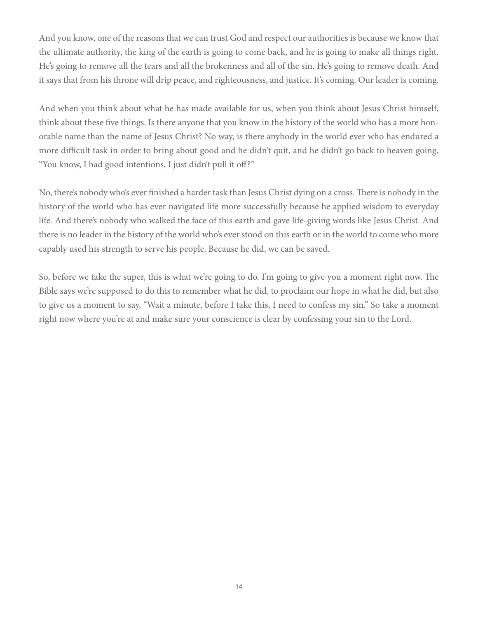And you know, one of the reasons that we can trust God and respect our authorities is because we know that the ultimate authority, the king of the earth is going to come back, and he is going to make all things right. He's going to remove all the tears and all the brokenness and all of the sin. He's going to remove death. And it says that from his throne will drip peace, and righteousness, and justice. It's coming. Our leader is coming.

And when you think about what he has made available for us, when you think about Jesus Christ himself, think about these five things. Is there anyone that you know in the history of the world who has a more honorable name than the name of Jesus Christ? No way, is there anybody in the world ever who has endured a more difficult task in order to bring about good and he didn't quit, and he didn't go back to heaven going, "You know, I had good intentions, I just didn't pull it off?"

No, there's nobody who's ever finished a harder task than Jesus Christ dying on a cross. There is nobody in the history of the world who has ever navigated life more successfully because he applied wisdom to everyday life. And there's nobody who walked the face of this earth and gave life-giving words like Jesus Christ. And there is no leader in the history of the world who's ever stood on this earth or in the world to come who more capably used his strength to serve his people. Because he did, we can be saved.

So, before we take the super, this is what we're going to do. I'm going to give you a moment right now. The Bible says we're supposed to do this to remember what he did, to proclaim our hope in what he did, but also to give us a moment to say, "Wait a minute, before I take this, I need to confess my sin." So take a moment right now where you're at and make sure your conscience is clear by confessing your sin to the Lord.